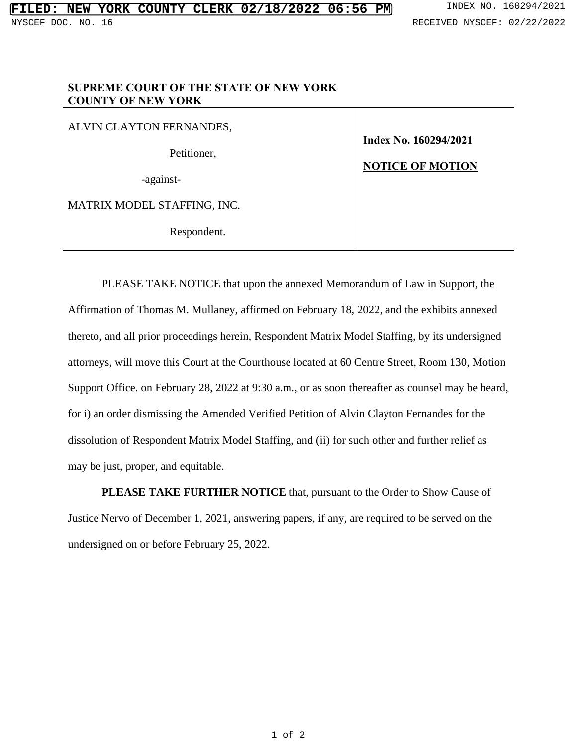## **SUPREME COURT OF THE STATE OF NEW YORK COUNTY OF NEW YORK**

ALVIN CLAYTON FERNANDES,

Petitioner,

-against-

MATRIX MODEL STAFFING, INC.

Respondent.

**Index No. 160294/2021 NOTICE OF MOTION**

PLEASE TAKE NOTICE that upon the annexed Memorandum of Law in Support, the Affirmation of Thomas M. Mullaney, affirmed on February 18, 2022, and the exhibits annexed thereto, and all prior proceedings herein, Respondent Matrix Model Staffing, by its undersigned attorneys, will move this Court at the Courthouse located at 60 Centre Street, Room 130, Motion Support Office. on February 28, 2022 at 9:30 a.m., or as soon thereafter as counsel may be heard, for i) an order dismissing the Amended Verified Petition of Alvin Clayton Fernandes for the dissolution of Respondent Matrix Model Staffing, and (ii) for such other and further relief as may be just, proper, and equitable.

**PLEASE TAKE FURTHER NOTICE** that, pursuant to the Order to Show Cause of Justice Nervo of December 1, 2021, answering papers, if any, are required to be served on the undersigned on or before February 25, 2022.